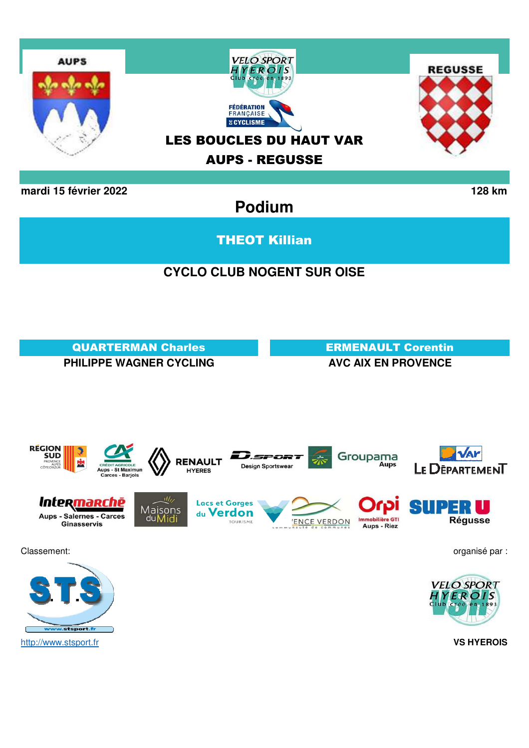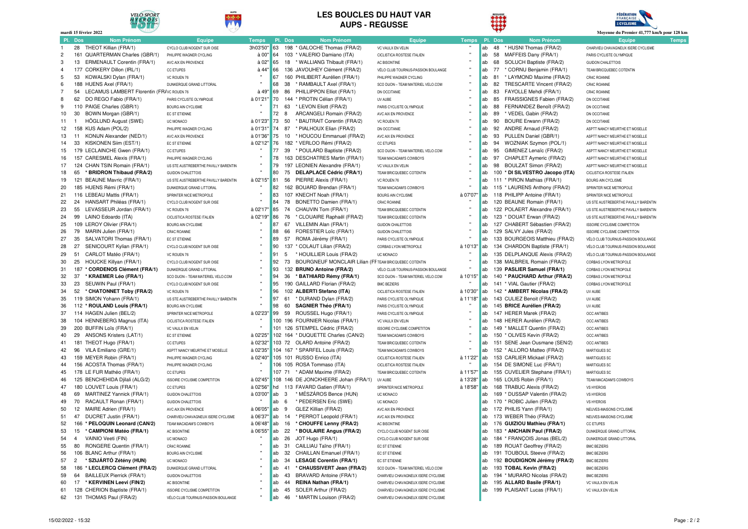

#### **LES BOUCLES DU HAUT VAR AUPS - REGUSSE**





|                |                | mardi 15 février 2022                                 |                                      |              |     |         |                                                                    |                                                              |              |           | ۴۶      |                                                            | Moyenne du Premier 41,777 km/h pour 128 km |              |
|----------------|----------------|-------------------------------------------------------|--------------------------------------|--------------|-----|---------|--------------------------------------------------------------------|--------------------------------------------------------------|--------------|-----------|---------|------------------------------------------------------------|--------------------------------------------|--------------|
|                | Pl. Dos        | <b>Nom Prénom</b>                                     | Equipe                               | <b>Temps</b> |     | Pl. Dos | <b>Nom Prénom</b>                                                  | <b>Equipe</b>                                                | <b>Temps</b> |           | Pl. Dos | <b>Nom Prénom</b>                                          | <b>Equipe</b>                              | <b>Temps</b> |
| -1.            |                | 28 THEOT Killian (FRA/1)                              | CYCLO CLUB NOGENT SUR OISE           | 3h03'50"     | 63  |         | 198 * GALOCHE Thomas (FRA/2)                                       | VC VAULX EN VELIN                                            |              | ab        | 48      | * HUSNI Thomas (FRA/2)                                     | CHARVIEU CHAVAGNEUX ISERE CYCLISME         |              |
| $\overline{2}$ |                | 161 QUARTERMAN Charles (GBR/1)                        | PHILIPPE WAGNER CYCLING              | à 00'        | 64  |         | 103 * VALERIO Damiano (ITA)                                        | CICLISTICA ROSTESE ITALIEN                                   |              | ab        | 58      | MAFFEIS Dany (FRA/1)                                       | PARIS CYCLISTE OLYMPIQUE                   |              |
| 3              |                | 13 ERMENAULT Corentin (FRA/1)                         | AVC AIX EN PROVENCE                  | à 02'        | 65  |         | 18 * WALLIANG Thibault (FRA/1)                                     | AC BISONTINE                                                 |              | ab        | 68      | SOLUCH Baptiste (FRA/2)                                    | <b>GUIDON CHALETTOIS</b>                   |              |
| $\overline{4}$ |                | 177 CORKERY Dillon (IRL/1)                            | <b>CC ETUPES</b>                     | à 44'        | 66  |         | 136 JAVOUHEY Clément (FRA/2)                                       | VÉLO CLUB TOURNUS-PASSION BOULANGE                           |              | ab        | 77      | * CORNU Benjamin (FRA/1)                                   | TEAM BRICQUEBEC COTENTIN                   |              |
| 5              |                | 53 KOWALSKI Dylan (FRA/1)                             | VC ROUEN 76                          |              | 67  |         | 160 PHILIBERT Aurélien (FRA/1)                                     | PHILIPPE WAGNER CYCLING                                      |              | ab        | 81      | * LAYMOND Maxime (FRA/2)                                   | CR4C ROANNE                                |              |
| 6              |                | 188 HUENS Axel (FRA/1)                                | DUNKERQUE GRAND LITTORAL             |              | 68  | 38      | * RAMBAULT Axel (FRA/1)                                            | SCO DIJON - TEAM MATERIEL VELO.COM                           |              | ab        | 82      | TRESCARTE Vincent (FRA/2)                                  | CR4C ROANNE                                |              |
| $\overline{7}$ | 54             | LECAMUS LAMBERT Florentin (FR/VC ROUEN 76             |                                      | à 49'        | 69  | 86      | PHILLIPPON Elliot (FRA/1)                                          | DN OCCITANIE                                                 |              | ab        | 83      | FAYOLLE Mehdi (FRA/1)                                      | CR4C ROANNE                                |              |
| 8              | 62             | DO REGO Fabio (FRA/1)                                 | PARIS CYCLISTE OLYMPIQUE             | à 01'21'     | 70  | 144     | * PROTIN Célian (FRA/1)                                            | UV AUBE                                                      |              | ab        | 85      | FRAISSIGNES Fabien (FRA/2)                                 | DN OCCITANIE                               |              |
| 9              |                | 110 PAIGE Charles (GBR/1)                             | <b>BOURG AIN CYCLISME</b>            |              | 71  | 63      | * LEVON Eliott (FRA/2)                                             | PARIS CYCLISTE OLYMPIQUE                                     |              | ab        | 88      | FERNANDEZ Benoît (FRA/2)                                   | DN OCCITANIE                               |              |
| 10             | 30             | BOWN Morgan (GBR/1)                                   | EC ST ETIENNE                        |              | 72  | 8       | ARCANGELI Romain (FRA/2)                                           | AVC AIX EN PROVENCE                                          |              | ab        | 89      | * VEDEL Gabin (FRA/2)                                      | DN OCCITANIE                               |              |
| 11             |                | HÖGLUND August (SWE)                                  | UC MONACO                            | à 01'23"     | 73  | 50      | * BAUTRAIT Corentin (FRA/2)                                        | VC ROUEN 76                                                  |              | ab        | 90      | <b>BOURE Erwann (FRA/2)</b>                                | DN OCCITANIE                               |              |
| 12             |                | 158 KUS Adam (POL/2)                                  | PHILIPPE WAGNER CYCLING              | à 01'31"     | 74  | 87      | * PIALHOUX Elian (FRA/2)                                           | DN OCCITANIE                                                 |              | ab        | 92      | ANDRE Arnaud (FRA/2)                                       | ASPTT NANCY MEURTHE ET MOSELLE             |              |
| 13             | 11             | KONIJN Alexander (NED/1)                              | AVC AIX EN PROVENCE                  | à 01'36" 75  |     | 10      | * HOUCOU Emmanuel (FRA/2)                                          | AVC AIX EN PROVENCE                                          |              | ab        | 93      | PULLEN Daniel (GBR/1)                                      | ASPTT NANCY MEURTHE ET MOSELLE             |              |
| 14             |                | 33 KISKONEN Siim (EST/1)                              | EC ST ETIENNE                        | à 02'12" 76  |     |         | 182 * VERLOO Rémi (FRA/2)                                          | <b>CC ETUPES</b>                                             |              | ab        | 94      | WOZNIAK Szymon (POL/1)                                     | ASPTT NANCY MEURTHE ET MOSELLE             |              |
| 15             |                | 179 LECLAINCHE Gwen (FRA/1)                           | <b>CC ETUPES</b>                     |              | 77  | 39      | * POULARD Baptiste (FRA/2)                                         | SCO DIJON - TEAM MATERIEL VELO.COM                           |              | ab        | 95      | GIMENEZ Lenaïc (FRA/2)                                     | ASPTT NANCY MEURTHE ET MOSELLE             |              |
| 16             |                | 157 CARESMEL Alexis (FRA/1)                           | PHILIPPE WAGNER CYCLING              |              | 78  |         | 163 DESCHATRES Martin (FRA/1)                                      | TEAM MACADAM'S COWBOYS                                       |              | ab        | 97      | CHAPLET Aymeric (FRA/2)                                    | ASPTT NANCY MEURTHE ET MOSELLE             |              |
| 17             |                | 124 CHAN TSIN Romain (FRA/1)                          | US STE AUSTREBERTHE PAVILLY BARENTIN |              | 79  |         | 197 LEONIEN Alexandre (FRA/1)                                      | VC VAULX EN VELIN                                            |              | ab        | 98      | BOULZAT Simon (FRA/2)                                      | ASPTT NANCY MEURTHE ET MOSELLE             |              |
| 18             | 65             | * BRIDRON Thibaud (FRA/2)                             | <b>GUIDON CHALETTOIS</b>             |              | 80  | 75      | <b>DELAPLACE Cédric (FRA/1)</b>                                    | TEAM BRICQUEBEC COTENTIN                                     |              | ab        |         | 100 * DI SILVESTRO Jacopo (ITA)                            | CICLISTICA ROSTESE ITALIEN                 |              |
| 19             |                | 121 BEAUNE Mavric (FRA/1)                             | US STE AUSTREBERTHE PAVILLY BARENTIN | à 02'15'     | 81  | 56      | PIERRE Alexis (FRA/1)                                              | VC ROUEN 76                                                  |              | ab        |         | 111 * PIRON Mathias (FRA/1)                                | <b>BOURG AIN CYCLISME</b>                  |              |
| 20             |                | 185 HUENS Rémi (FRA/1)                                | DUNKERQUE GRAND LITTORAL             |              | 82  |         | 162 BOUARD Brendan (FRA/1)                                         | TEAM MACADAM'S COWBOYS                                       |              | ab        |         | 115 * LAURENS Anthony (FRA/2)                              | SPRINTER NICE METROPOLE                    |              |
| 21             |                | 116 LEBEAU Mattis (FRA/1)                             | SPRINTER NICE METROPOLE              |              | 83  |         | 107 KNECHT Noah (FRA/1)                                            | <b>BOURG AIN CYCLISME</b>                                    | à 07'07      | ab        |         | 118 PHILIPP Antoine (FRA/1)                                | SPRINTER NICE METROPOLE                    |              |
| 22             |                | 24 HANSART Philéas (FRA/1)                            | CYCLO CLUB NOGENT SUR OISE           |              | 84  | 78      | BONETTO Damien (FRA/1)                                             | CR4C ROANNE                                                  |              | ab        |         | 120 BEAUNE Romain (FRA/1)                                  | US STE AUSTREBERTHE PAVILLY BARENTIN       |              |
| 23             | 55             | LEVASSEUR Jordan (FRA/1)                              | VC ROUEN 76                          | à 02'17'     | 85  | 74      | CHAUVIN Tom (FRA/1)                                                | TEAM BRICQUEBEC COTENTIN                                     |              | ab        |         | 122 POLAERT Alexandre (FRA/1)                              | US STE AUSTREBERTHE PAVILLY BARENTIN       |              |
| 24             |                | 99 LAINO Edoardo (ITA)                                | CICLISTICA ROSTESE ITALIEN           | à 02'19"     | 86  | 76      | * CLOUAIRE Raphaël (FRA/2)                                         | TEAM BRICQUEBEC COTENTIN                                     |              | ab        |         | 123 * DOUAT Erwan (FRA/2)                                  | US STE AUSTREBERTHE PAVILLY BARENTIN       |              |
| 25             |                | 109 LEROY Olivier (FRA/1)                             | <b>BOURG AIN CYCLISME</b>            |              | 87  | 67      | VILLEMIN Alan (FRA/1)                                              | <b>GUIDON CHALETTOIS</b>                                     |              | ab        |         | 127 CHABERT Sébastien (FRA/2)                              | <b>ISSOIRE CYCLISME COMPETITON</b>         |              |
| 26             |                | 79 MARIN Julien (FRA/1)                               | CR4C ROANNE                          |              | 88  | 66      | FORESTIER Loïc (FRA/1)                                             | <b>GUIDON CHALETTOIS</b>                                     |              | ab        |         | 129 SALVY Jules (FRA/2)                                    | <b>ISSOIRE CYCLISME COMPETITON</b>         |              |
| 27             | 35             | SALVATORI Thomas (FRA/1)                              | EC ST ETIENNE                        |              | 89  | 57      | ROMA Jérémy (FRA/1)                                                | PARIS CYCLISTE OLYMPIQUE                                     |              | ab        |         | 133 BOURGEOIS Matthieu (FRA/2)                             | VÉLO CLUB TOURNUS-PASSION BOULANGE         |              |
| 28             | 27             | SENICOURT Kylian (FRA/1)                              | CYCLO CLUB NOGENT SUR OISE           |              | 90  | 137     | * COLAUT Lilian (FRA/2)                                            | CORBAS LYON METROPOLE                                        | à 10'13"     | ab        |         | 134 CHARDON Baptiste (FRA/1)                               | VÉLO CLUB TOURNUS-PASSION BOULANGE         |              |
| 29             | 51             | CARLOT Matéo (FRA/1)                                  | VC ROUEN 76                          |              | 91  | 5       | * HOUILLIER Louis (FRA/2)                                          | UC MONACO                                                    |              | ab        |         | 135 DELPLANQUE Alexis (FRA/2)                              | VÉLO CLUB TOURNUS-PASSION BOULANGE         |              |
| 30             | 25             | HOUCKE Killyan (FRA/1)                                | CYCLO CLUB NOGENT SUR OISE           | $\mathbf{u}$ | 92  | 73      | <b>BOURGNEUF MONCLAIR Lilian (FFTEAM BRICQUEBEC COTENTIN</b>       |                                                              |              | ab        |         | 138 MALBREIL Romain (FRA/2)                                | CORBAS LYON METROPOLE                      |              |
| 31             |                | 187 * CORDENOS Clément (FRA/1)                        | DUNKERQUE GRAND LITTORAL             |              | 93  |         | 132 BRUNO Antoine (FRA/2)                                          | VÉLO CLUB TOURNUS-PASSION BOULANGE                           |              | ab        |         | 139 PASLIER Samuel (FRA/1)                                 | CORBAS LYON METROPOLE                      |              |
| 32             | 37             | * KRAEMER Léo (FRA/1)                                 | SCO DIJON - TEAM MATERIEL VELO.COM   |              | 94  | 36      | * BATHIARD Rémy (FRA/1)                                            | SCO DIJON - TEAM MATERIEL VELO.COM                           | à 10'15'     | ab        |         | 140 * PAUCHARD Arthur (FRA/2)                              | CORBAS LYON METROPOLE                      |              |
| 33             | 23             | SEUWIN Paul (FRA/1)                                   | CYCLO CLUB NOGENT SUR OISE           |              | 95  |         | 190 GAILLARD Florian (FRA/2)                                       | <b>BMC BEZIERS</b>                                           |              | ab        |         | 141 * VIAL Gautier (FRA/2)                                 | CORBAS LYON METROPOLE                      |              |
| 34             |                | 52 * CHATONNET Toby (FRA/2)                           | VC ROUEN 76                          | $\mathbf{u}$ | 96  |         | 102 ALBERTI Stefano (ITA)                                          | CICLISTICA ROSTESE ITALIEN                                   | à 10'30"     | ab        |         | 142 * AMBERT Nicolas (FRA/2)                               | UV AUBE                                    |              |
| 35             |                | 119 SIMON Yohann (FRA/1)                              | US STE AUSTREBERTHE PAVILLY BARENTIN |              | 97  | 61      | * DURAND Dylan (FRA/2)                                             | PARIS CYCLISTE OLYMPIQUE                                     | à 11'18"     | ab        |         | 143 CULIEZ Benoit (FRA/2)                                  | UV AUBE                                    |              |
| 36             |                | 112 * ROULAND Louis (FRA/1)                           | <b>BOURG AIN CYCLISME</b>            |              | 98  | 60      | <b>SAGNIER Théo (FRA/1)</b>                                        | PARIS CYCLISTE OLYMPIQUE                                     |              | ab        |         | 145 BRICE Aurélien (FRA/2)                                 | UV AUBE                                    |              |
| 37<br>38       |                | 114 HAGEN Julien (BEL/2)                              | SPRINTER NICE METROPOLE              | à 02'23'     | 99  | 59      | ROUSSEL Hugo (FRA/1)                                               | PARIS CYCLISTE OLYMPIQUE                                     |              | ab        |         | 147 HERER Marek (FRA/2)                                    | <b>OCC ANTIBES</b>                         |              |
| 39             |                | 104 HENNEBERG Magnus (ITA)<br>200 BUFFIN Loïs (FRA/1) | CICLISTICA ROSTESE ITALIEN           |              |     |         | 100 196 FOURNIER Nicolas (FRA/1)<br>101 126 STEMPEL Cédric (FRA/2) | VC VAULX EN VELIN                                            |              | ab<br>ab  |         | 148 HERER Aurélien (FRA/2)<br>149 * MALLET Quentin (FRA/2) | <b>OCC ANTIBES</b><br><b>OCC ANTIBES</b>   |              |
| 40             |                | 29 ANSONS Kristers (LAT/1)                            | VC VAULX EN VELIN<br>EC ST ETIENNE   | à 02'25'     |     |         | 102 164 * DUQUETTE Charles (CAN/2)                                 | <b>ISSOIRE CYCLISME COMPETITON</b><br>TEAM MACADAM'S COWBOYS |              | ab        |         | 150 * OLIVES Kevin (FRA/2)                                 | <b>OCC ANTIBES</b>                         |              |
| 41             |                | 181 THEOT Hugo (FRA/1)                                | <b>CC ETUPES</b>                     | à 02'32"     |     |         | 103 72 OLARD Antoine (FRA/2)                                       | TEAM BRICQUEBEC COTENTIN                                     |              | ab        |         | 151 SENE Jean Ousmane (SEN/2)                              | <b>OCC ANTIBES</b>                         |              |
| 42             |                | 96 VILA Emiliano (GRE/1)                              | ASPTT NANCY MEURTHE ET MOSELLE       | à 02'35'     |     |         | 104 167 * SPARFEL Louis (FRA/2)                                    | TEAM MACADAM'S COWBOYS                                       |              | ab        |         | 152 * ALLORO Matteo (FRA/2)                                | MARTIGUES SC                               |              |
| 43             |                | 159 MEYER Robin (FRA/1)                               | PHILIPPE WAGNER CYCLING              | à 02'40'     |     |         | 105 101 RUSSO Enrico (ITA)                                         | CICLISTICA ROSTESE ITALIEN                                   | à 11'22"     | <b>ab</b> |         | 153 CARLIER Mickael (FRA/2)                                | MARTIGUES SC                               |              |
| 44             |                | 156 ACOSTA Thomas (FRA/1)                             | PHILIPPE WAGNER CYCLING              |              |     |         | 106 105 ROSA Tommaso (ITA)                                         | CICLISTICA ROSTESE ITALIEN                                   |              | ab        |         | 154 DE SIMONE Luc (FRA/1)                                  | MARTIGUES SC                               |              |
| 45             |                | 178 LE FUR Mathéo (FRA/1)                             | CC ETUPES                            |              |     |         | 107 71 * ADAM Maxime (FRA/2)                                       | TEAM BRICQUEBEC COTENTIN                                     | à 11'57      | ab        |         | 155 CUVELIER Stephane (FRA/1)                              | MARTIGUES SC                               |              |
| 46             |                | 125 BENCHEHIDA Djilali (ALG/2)                        | <b>ISSOIRE CYCLISME COMPETITON</b>   | à 02'45'     | 108 |         | 146 DE JONCKHEERE Johan (FRA/1)                                    | UV AUBE                                                      | à 13'28"     | ab        |         | 165 LOUIS Robin (FRA/1)                                    | TEAM MACADAM'S COWBOYS                     |              |
| 47             |                | 180 LOUVET Louis (FRA/1)                              | <b>CC ETUPES</b>                     | à 02'56"     | hd  |         | 113 FAVARD Gatien (FRA/1)                                          | SPRINTER NICE METROPOLE                                      | à 18'58"     | ab        |         | 168 TRABUC Alexis (FRA/2)                                  | VS HYEROIS                                 |              |
| 48             |                | 69 MARTINEZ Yannick (FRA/1)                           | <b>GUIDON CHALETTOIS</b>             | à 03'00"     | ab  | 3       | * MÉSZÁROS Bence (HUN)                                             | UC MONACO                                                    |              | ab        |         | 169 * DUSSAP Valentin (FRA/2)                              | VS HYEROIS                                 |              |
| 49             |                | 70 RACAULT Ronan (FRA/1)                              | <b>GUIDON CHALETTOIS</b>             |              | ab  | 6       | * PEDERSEN Eric (SWE)                                              | UC MONACO                                                    |              | lab       |         | 170 * ROBIC Julien (FRA/2)                                 | <b>VS HYEROIS</b>                          |              |
| 50             |                | 12 MAIRE Adrien (FRA/1)                               | AVC AIX EN PROVENCE                  | à 06'05'     | ab  | 9       | GLEZ Killian (FRA/2)                                               | AVC AIX EN PROVENCE                                          |              | lab       |         | 172 PHILIS Yann (FRA/1)                                    | NEUVES-MAISONS CYCLISME                    |              |
| 51             |                | 47 DUCRET Justin (FRA/1)                              | CHARVIEU CHAVAGNEUX ISERE CYCLISME   | à 06'37"     | ab  | 14      | * PERROT Leopold (FRA/1)                                           | AVC AIX EN PROVENCE                                          |              | lab       |         | 173 WEBER Théo (FRA/2)                                     | NEUVES-MAISONS CYCLISME                    |              |
| 52             |                | 166 * PELOQUIN Leonard (CAN/2)                        | TEAM MACADAM'S COWBOYS               | à 06'48" ab  |     | 16      | * CHOUFFE Lenny (FRA/2)                                            | <b>AC BISONTINE</b>                                          |              | lab       |         | 176 GUIZIOU Mathieu (FRA/1)                                | <b>CC ETUPES</b>                           |              |
| 53             | 15             | * CAMPIONI Matéo (FRA/1)                              | AC BISONTINE                         | à 06'55"     | ab  | 22      | * BOULAIRE Angus (FRA/2)                                           | CYCLO CLUB NOGENT SUR OISE                                   |              | ab        |         | 183 * ANCHAIN Paul (FRA/2)                                 | DUNKERQUE GRAND LITTORAL                   |              |
| 54             | 4              | VAINIO Veeti (FIN)                                    | UC MONACO                            |              | ab  | 26      | JOT Hugo (FRA/1)                                                   | CYCLO CLUB NOGENT SUR OISE                                   |              | lab       |         | 184 * FRANÇOIS Jonas (BEL/2)                               | DUNKERQUE GRAND LITTORAL                   |              |
| 55             | 80             | RONGERE Quentin (FRA/1)                               | CR4C ROANNE                          |              | ab  | 31      | CAILLIAU Taïno (FRA/1)                                             | EC ST ETIENNE                                                |              | ab        |         | 189 ROUAT Geoffrey (FRA/2)                                 | <b>BMC BEZIERS</b>                         |              |
| 56             |                | 106 BLANC Arthur (FRA/1)                              | <b>BOURG AIN CYCLISME</b>            |              | ab  | 32      | CHAILLAN Emanuel (FRA/1)                                           | EC ST ETIENNE                                                |              | lab       |         | 191 TOUBOUL Steeve (FRA/2)                                 | <b>BMC BEZIERS</b>                         |              |
| 57             | $\overline{c}$ | * SZIJÁRTÓ Zétény (HUN)                               | UC MONACO                            |              | ab  | 34      | <b>LESAGE Corentin (FRA/1)</b>                                     | EC ST ETIENNE                                                |              | ab        |         | 192 BOUDIGNON Jérémy (FRA/2)                               | <b>BMC BEZIERS</b>                         |              |
| 58             |                | 186 * LECLERCQ Clément (FRA/2)                        | DUNKERQUE GRAND LITTORAL             |              | ab  | 41      | * CHAUSSIVERT Jean (FRA/2)                                         | SCO DIJON - TEAM MATERIEL VELO.COM                           |              | ab        |         | 193 TOBAL Kevin (FRA/2)                                    | <b>BMC BEZIERS</b>                         |              |
| 59             | 64             | <b>BAILLEUX Pierrick (FRA/1)</b>                      | <b>GUIDON CHALETTOIS</b>             |              | ab  | 43      | BRAVARD Antoine (FRA/1)                                            | CHARVIEU CHAVAGNEUX ISERE CYCLISME                           |              | ab        |         | 194 * MURARO Nicolas (FRA/2)                               | <b>BMC BEZIERS</b>                         |              |
| 60             |                | 17 * KERVINEN Leevi (FIN/2)                           | AC BISONTINE                         |              | ab  | 44      | REINA Nathan (FRA/1)                                               | CHARVIEU CHAVAGNEUX ISERE CYCLISME                           |              | ab        |         | 195 ALLARD Basile (FRA/1)                                  | VC VAULX EN VELIN                          |              |
| 61             |                | 128 CHERION Baptiste (FRA/1)                          | <b>ISSOIRE CYCLISME COMPETITON</b>   |              | ab  | 45      | SOLER Arthur (FRA/2)                                               | CHARVIEU CHAVAGNEUX ISERE CYCLISME                           |              | ab        |         | 199 PLAISANT Lucas (FRA/1)                                 | VC VAULX EN VELIN                          |              |
| 62             |                | 131 THOMAS Paul (FRA/2)                               | VÉLO CLUB TOURNUS-PASSION BOULANGE   |              | ab  | 46      | * MARTIN Louison (FRA/2)                                           | CHARVIEU CHAVAGNEUX ISERE CYCLISME                           |              |           |         |                                                            |                                            |              |
|                |                |                                                       |                                      |              |     |         |                                                                    |                                                              |              |           |         |                                                            |                                            |              |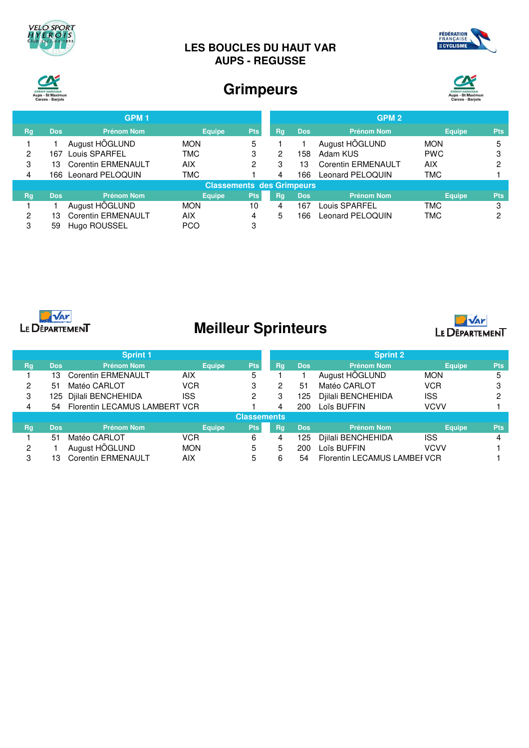

## **LES BOUCLES DU HAUT VAR AUPS - REGUSSE**





# **Grimpeurs**



|                |            | GPM <sub>1</sub>          |                                  |            |    |            | GPM <sub>2</sub>          |               |            |
|----------------|------------|---------------------------|----------------------------------|------------|----|------------|---------------------------|---------------|------------|
| <b>Rg</b>      | <b>Dos</b> | <b>Prénom Nom</b>         | <b>Equipe</b>                    | Pts,       | Rg | <b>Dos</b> | <b>Prénom Nom</b>         | <b>Equipe</b> | <b>Pts</b> |
|                |            | August HÖGLUND            | <b>MON</b>                       | 5          |    |            | August HÖGLUND            | <b>MON</b>    | 5          |
| $\overline{2}$ | 167        | Louis SPARFEL             | <b>TMC</b>                       | 3          | 2  | 158        | Adam KUS                  | <b>PWC</b>    | 3          |
| 3              | 13         | <b>Corentin ERMENAULT</b> | AIX                              | 2          | 3  | 13         | <b>Corentin ERMENAULT</b> | AIX           | ◠          |
| 4              |            | 166 Leonard PELOQUIN      | <b>TMC</b>                       |            | 4  | 166        | Leonard PELOQUIN          | <b>TMC</b>    |            |
|                |            |                           | <b>Classements des Grimpeurs</b> |            |    |            |                           |               |            |
| <b>Rg</b>      | <b>Dos</b> | <b>Prénom Nom</b>         | <b>Equipe</b>                    | <b>Pts</b> | Rg | <b>Dos</b> | <b>Prénom Nom</b>         | <b>Equipe</b> | <b>Pts</b> |
|                |            | August HÖGLUND            | <b>MON</b>                       | 10         | 4  | 167        | ouis SPARFEL_             | TMC           | 3          |
| 2              | 13         | <b>Corentin ERMENAULT</b> | AIX                              | 4          | 5  | 166        | Leonard PELOQUIN          | <b>TMC</b>    | റ          |
| 3              | 59         | Hugo ROUSSEL              | <b>PCO</b>                       | 3          |    |            |                           |               |            |



# **Meilleur Sprinteurs**



|                    |            | <b>Sprint 1</b>               |               |            |    |            | <b>Sprint 2</b>              |               |            |
|--------------------|------------|-------------------------------|---------------|------------|----|------------|------------------------------|---------------|------------|
| Rg                 | <b>Dos</b> | <b>Prénom Nom</b>             | <b>Equipe</b> | Pts        | Rg | <b>Dos</b> | <b>Prénom Nom</b>            | <b>Equipe</b> | <b>Pts</b> |
|                    | 13         | <b>Corentin ERMENAULT</b>     | <b>AIX</b>    | 5          |    |            | August HÖGLUND               | <b>MON</b>    |            |
| 2                  | 51         | Matéo CARLOT                  | <b>VCR</b>    | 3          | 2  | 51         | Matéo CARLOT                 | <b>VCR</b>    |            |
| 3                  | 125.       | Djilali BENCHEHIDA            | ISS           | 2          | 3  | 125        | Djilali BENCHEHIDA           | <b>ISS</b>    |            |
| 4                  | 54         | Florentin LECAMUS LAMBERT VCR |               |            |    | 200        | Loïs BUFFIN                  | <b>VCVV</b>   |            |
| <b>Classements</b> |            |                               |               |            |    |            |                              |               |            |
| Rg                 | <b>Dos</b> | <b>Prénom Nom</b>             | <b>Equipe</b> | <b>Pts</b> | Rg | <b>Dos</b> | <b>Prénom Nom</b>            | <b>Equipe</b> | <b>Pts</b> |
|                    | 51         | Matéo CARLOT                  | <b>VCR</b>    | 6          | 4  | 125        | Diilali BENCHEHIDA           | <b>ISS</b>    |            |
| 2                  |            | August HÖGLUND                | <b>MON</b>    | 5          | 5  | 200        | Loïs BUFFIN                  | <b>VCVV</b>   |            |
| 3                  | 13         | <b>Corentin ERMENAULT</b>     | <b>AIX</b>    | 5          | 6  | 54         | Florentin LECAMUS LAMBEF VCR |               |            |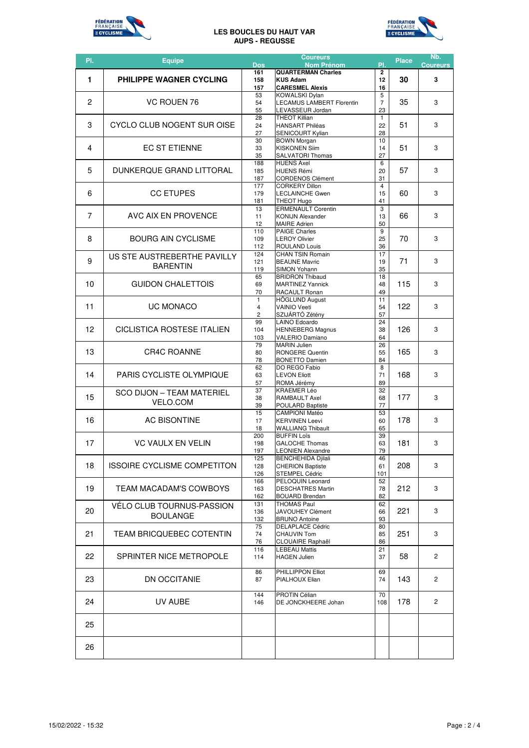

#### **LES BOUCLES DU HAUT VAR AUPS - REGUSSE**



| PI.            | <b>Equipe</b>                                       | <b>Dos</b>             | <b>Coureurs</b><br><b>Nom Prénom</b>                                                                    | PI.                        | <b>Place</b> | Nb.<br><b>Coureurs</b> |
|----------------|-----------------------------------------------------|------------------------|---------------------------------------------------------------------------------------------------------|----------------------------|--------------|------------------------|
| 1              | <b>PHILIPPE WAGNER CYCLING</b>                      | 161<br>158             | <b>QUARTERMAN Charles</b><br><b>KUS Adam</b>                                                            | $\overline{2}$<br>12<br>16 | 30           | 3                      |
| $\overline{c}$ | VC ROUEN 76                                         | 157<br>53<br>54<br>55  | <b>CARESMEL Alexis</b><br><b>KOWALSKI Dylan</b><br><b>LECAMUS LAMBERT Florentin</b><br>LEVASSEUR Jordan | 5<br>$\overline{7}$<br>23  | 35           | 3                      |
| 3              | CYCLO CLUB NOGENT SUR OISE                          | 28<br>24<br>27         | <b>THEOT Killian</b><br><b>HANSART Philéas</b><br><b>SENICOURT Kylian</b>                               | $\mathbf{1}$<br>22<br>28   | 51           | 3                      |
| 4              | <b>EC ST ETIENNE</b>                                | 30<br>33<br>35         | <b>BOWN Morgan</b><br><b>KISKONEN Siim</b><br><b>SALVATORI Thomas</b>                                   | 10<br>14<br>27             | 51           | 3                      |
| 5              | DUNKERQUE GRAND LITTORAL                            | 188<br>185<br>187      | <b>HUENS Axel</b><br><b>HUENS Rémi</b><br><b>CORDENOS Clément</b>                                       | 6<br>20<br>31              | 57           | 3                      |
| 6              | <b>CC ETUPES</b>                                    | 177<br>179<br>181      | <b>CORKERY Dillon</b><br><b>LECLAINCHE Gwen</b><br><b>THEOT Hugo</b>                                    | $\overline{4}$<br>15<br>41 | 60           | 3                      |
| 7              | AVC AIX EN PROVENCE                                 | 13<br>11<br>12         | <b>ERMENAULT Corentin</b><br><b>KONIJN Alexander</b><br><b>MAIRE Adrien</b>                             | 3<br>13<br>50              | 66           | 3                      |
| 8              | <b>BOURG AIN CYCLISME</b>                           | 110<br>109<br>112      | <b>PAIGE Charles</b><br><b>LEROY Olivier</b><br><b>ROULAND Louis</b>                                    | 9<br>25<br>36              | 70           | 3                      |
| 9              | US STE AUSTREBERTHE PAVILLY<br><b>BARENTIN</b>      | 124<br>121<br>119      | <b>CHAN TSIN Romain</b><br><b>BEAUNE Mavric</b><br>SIMON Yohann                                         | 17<br>19<br>35             | 71           | 3                      |
| 10             | <b>GUIDON CHALETTOIS</b>                            | 65<br>69<br>70         | <b>BRIDRON Thibaud</b><br><b>MARTINEZ Yannick</b><br>RACAULT Ronan                                      | 18<br>48<br>49             | 115          | 3                      |
| 11             | <b>UC MONACO</b>                                    | $\mathbf{1}$<br>4<br>2 | HÖGLUND August<br><b>VAINIO Veeti</b><br>SZIJÁRTÓ Zétény                                                | 11<br>54<br>57             | 122          | 3                      |
| 12             | CICLISTICA ROSTESE ITALIEN                          | 99<br>104<br>103       | <b>LAINO Edoardo</b><br><b>HENNEBERG Magnus</b><br><b>VALERIO Damiano</b>                               | 24<br>38<br>64             | 126          | 3                      |
| 13             | <b>CR4C ROANNE</b>                                  | 79<br>80<br>78         | <b>MARIN Julien</b><br><b>RONGERE Quentin</b><br><b>BONETTO Damien</b>                                  | 26<br>55<br>84             | 165          | 3                      |
| 14             | <b>PARIS CYCLISTE OLYMPIQUE</b>                     | 62<br>63<br>57         | DO REGO Fabio<br><b>LEVON Eliott</b><br>ROMA Jérémy                                                     | 8<br>71<br>89              | 168          | 3                      |
| 15             | <b>SCO DIJON - TEAM MATERIEL</b><br><b>VELO.COM</b> | 37<br>38<br>39         | KRAEMER Léo<br><b>RAMBAULT Axel</b><br>POULARD Baptiste                                                 | 32<br>68<br>77             | 177          | 3                      |
| 16             | AC BISONTINE                                        | 15<br>17<br>18         | <b>CAMPIONI Matéo</b><br><b>KERVINEN Leevi</b><br><b>WALLIANG Thibault</b>                              | 53<br>60<br>65             | 178          | 3                      |
| 17             | <b>VC VAULX EN VELIN</b>                            | 200<br>198<br>197      | <b>BUFFIN Loïs</b><br><b>GALOCHE Thomas</b><br><b>LEONIEN Alexandre</b>                                 | 39<br>63<br>79             | 181          | 3                      |
| 18             | ISSOIRE CYCLISME COMPETITON                         | 125<br>128<br>126      | <b>BENCHEHIDA Djilali</b><br><b>CHERION Baptiste</b><br><b>STEMPEL Cédric</b>                           | 46<br>61<br>101            | 208          | 3                      |
| 19             | TEAM MACADAM'S COWBOYS                              | 166<br>163<br>162      | PELOQUIN Leonard<br><b>DESCHATRES Martin</b><br><b>BOUARD Brendan</b>                                   | 52<br>78<br>82             | 212          | 3                      |
| 20             | VÉLO CLUB TOURNUS-PASSION<br><b>BOULANGE</b>        | 131<br>136<br>132      | <b>THOMAS Paul</b><br><b>JAVOUHEY Clément</b><br><b>BRUNO Antoine</b>                                   | 62<br>66<br>93             | 221          | 3                      |
| 21             | <b>TEAM BRICQUEBEC COTENTIN</b>                     | 75<br>74<br>76         | <b>DELAPLACE Cédric</b><br><b>CHAUVIN Tom</b><br><b>CLOUAIRE Raphaël</b>                                | 80<br>85<br>86             | 251          | 3                      |
| 22             | SPRINTER NICE METROPOLE                             | 116<br>114             | <b>LEBEAU Mattis</b><br><b>HAGEN Julien</b>                                                             | 21<br>37                   | 58           | 2                      |
| 23             | DN OCCITANIE                                        | 86<br>87               | PHILLIPPON Elliot<br>PIALHOUX Elian                                                                     | 69<br>74                   | 143          | $\overline{2}$         |
| 24             | UV AUBE                                             | 144<br>146             | PROTIN Célian<br>DE JONCKHEERE Johan                                                                    | 70<br>108                  | 178          | $\mathbf{2}^{\prime}$  |
| 25             |                                                     |                        |                                                                                                         |                            |              |                        |
| 26             |                                                     |                        |                                                                                                         |                            |              |                        |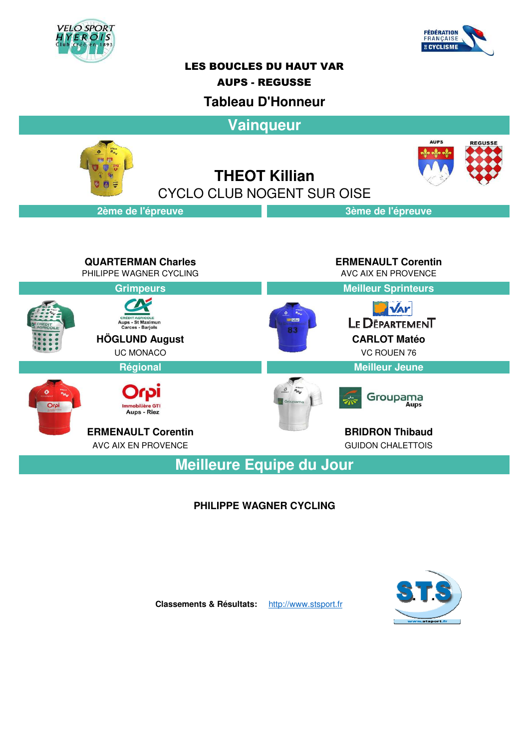



## LES BOUCLES DU HAUT VAR

#### AUPS - REGUSSE

## **Tableau D'Honneur**

**Vainqueur**





**THEOT Killian** CYCLO CLUB NOGENT SUR OISE

### **2ème de l'épreuve 3ème de l'épreuve**

**QUARTERMAN Charles ERMENAULT Corentin** PHILIPPE WAGNER CYCLING AVC AIX EN PROVENCE **Grimpeurs Meilleur Sprinteurs D** var LE DEPARTEMENT **CREDIT AGRICOLE**<br>Aups - St Maximun<br>Carces - Barjols **HÖGLUND August CARLOT Matéo** UC MONACO VC ROUEN 76 **Régional Meilleur Jeune**  $\theta$   $a_{H_U}$ Groupama Aups - Riez **ERMENAULT Corentin** BRIDRON Thibaud AVC AIX EN PROVENCE **GUIDON CHALETTOIS** 

**Meilleure Equipe du Jour**

### **PHILIPPE WAGNER CYCLING**



**Classements & Résultats:** http://www.stsport.fr